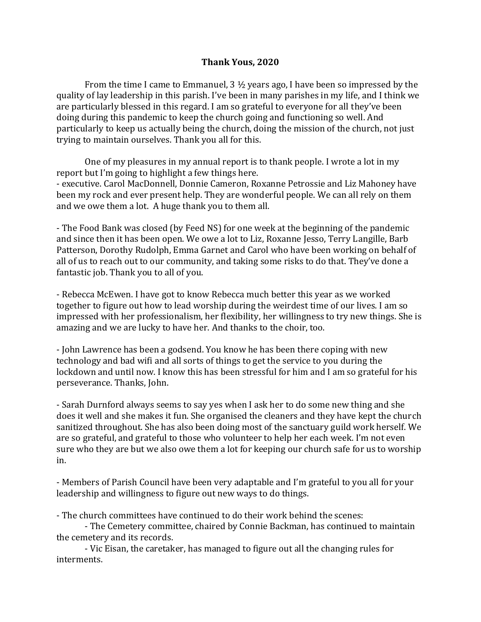## **Thank Yous, 2020**

From the time I came to Emmanuel, 3 ½ years ago, I have been so impressed by the quality of lay leadership in this parish. I've been in many parishes in my life, and I think we are particularly blessed in this regard. I am so grateful to everyone for all they've been doing during this pandemic to keep the church going and functioning so well. And particularly to keep us actually being the church, doing the mission of the church, not just trying to maintain ourselves. Thank you all for this.

One of my pleasures in my annual report is to thank people. I wrote a lot in my report but I'm going to highlight a few things here. - executive. Carol MacDonnell, Donnie Cameron, Roxanne Petrossie and Liz Mahoney have been my rock and ever present help. They are wonderful people. We can all rely on them and we owe them a lot. A huge thank you to them all.

- The Food Bank was closed (by Feed NS) for one week at the beginning of the pandemic and since then it has been open. We owe a lot to Liz, Roxanne Jesso, Terry Langille, Barb Patterson, Dorothy Rudolph, Emma Garnet and Carol who have been working on behalf of all of us to reach out to our community, and taking some risks to do that. They've done a fantastic job. Thank you to all of you.

- Rebecca McEwen. I have got to know Rebecca much better this year as we worked together to figure out how to lead worship during the weirdest time of our lives. I am so impressed with her professionalism, her flexibility, her willingness to try new things. She is amazing and we are lucky to have her. And thanks to the choir, too.

- John Lawrence has been a godsend. You know he has been there coping with new technology and bad wifi and all sorts of things to get the service to you during the lockdown and until now. I know this has been stressful for him and I am so grateful for his perseverance. Thanks, John.

- Sarah Durnford always seems to say yes when I ask her to do some new thing and she does it well and she makes it fun. She organised the cleaners and they have kept the church sanitized throughout. She has also been doing most of the sanctuary guild work herself. We are so grateful, and grateful to those who volunteer to help her each week. I'm not even sure who they are but we also owe them a lot for keeping our church safe for us to worship in.

- Members of Parish Council have been very adaptable and I'm grateful to you all for your leadership and willingness to figure out new ways to do things.

- The church committees have continued to do their work behind the scenes:

- The Cemetery committee, chaired by Connie Backman, has continued to maintain the cemetery and its records.

- Vic Eisan, the caretaker, has managed to figure out all the changing rules for interments.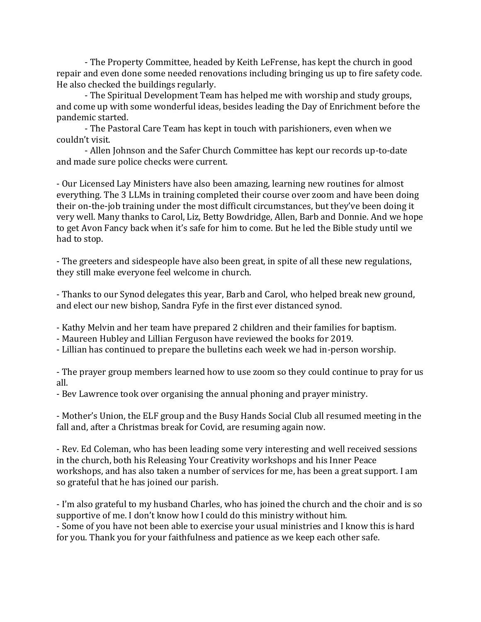- The Property Committee, headed by Keith LeFrense, has kept the church in good repair and even done some needed renovations including bringing us up to fire safety code. He also checked the buildings regularly.

- The Spiritual Development Team has helped me with worship and study groups, and come up with some wonderful ideas, besides leading the Day of Enrichment before the pandemic started.

- The Pastoral Care Team has kept in touch with parishioners, even when we couldn't visit.

- Allen Johnson and the Safer Church Committee has kept our records up-to-date and made sure police checks were current.

- Our Licensed Lay Ministers have also been amazing, learning new routines for almost everything. The 3 LLMs in training completed their course over zoom and have been doing their on-the-job training under the most difficult circumstances, but they've been doing it very well. Many thanks to Carol, Liz, Betty Bowdridge, Allen, Barb and Donnie. And we hope to get Avon Fancy back when it's safe for him to come. But he led the Bible study until we had to stop.

- The greeters and sidespeople have also been great, in spite of all these new regulations, they still make everyone feel welcome in church.

- Thanks to our Synod delegates this year, Barb and Carol, who helped break new ground, and elect our new bishop, Sandra Fyfe in the first ever distanced synod.

- Kathy Melvin and her team have prepared 2 children and their families for baptism.

- Maureen Hubley and Lillian Ferguson have reviewed the books for 2019.

- Lillian has continued to prepare the bulletins each week we had in-person worship.

- The prayer group members learned how to use zoom so they could continue to pray for us all.

- Bev Lawrence took over organising the annual phoning and prayer ministry.

- Mother's Union, the ELF group and the Busy Hands Social Club all resumed meeting in the fall and, after a Christmas break for Covid, are resuming again now.

- Rev. Ed Coleman, who has been leading some very interesting and well received sessions in the church, both his Releasing Your Creativity workshops and his Inner Peace workshops, and has also taken a number of services for me, has been a great support. I am so grateful that he has joined our parish.

- I'm also grateful to my husband Charles, who has joined the church and the choir and is so supportive of me. I don't know how I could do this ministry without him.

- Some of you have not been able to exercise your usual ministries and I know this is hard for you. Thank you for your faithfulness and patience as we keep each other safe.